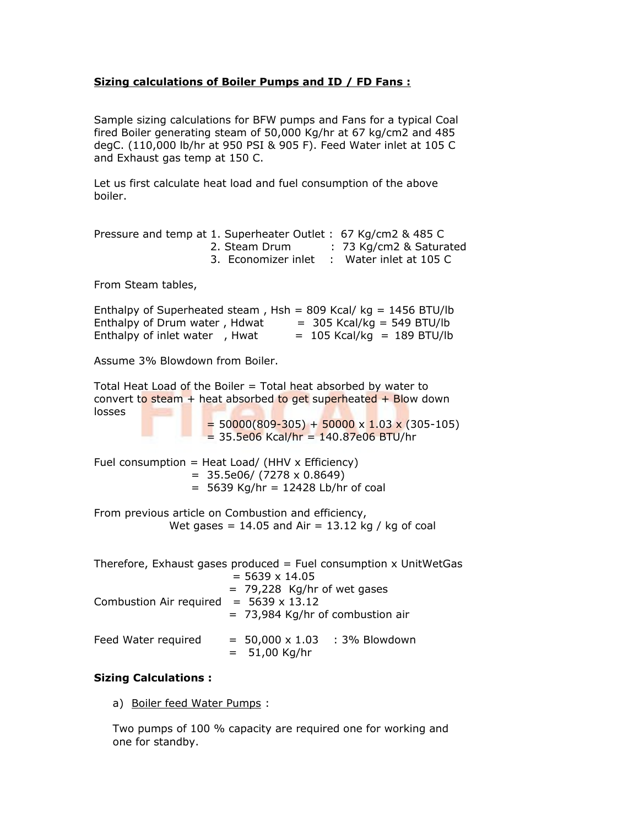## **Sizing calculations of Boiler Pumps and ID / FD Fans :**

Sample sizing calculations for BFW pumps and Fans for a typical Coal fired Boiler generating steam of 50,000 Kg/hr at 67 kg/cm2 and 485 degC. (110,000 lb/hr at 950 PSI & 905 F). Feed Water inlet at 105 C and Exhaust gas temp at 150 C.

Let us first calculate heat load and fuel consumption of the above boiler.

|  |                     | Pressure and temp at 1. Superheater Outlet: 67 Kg/cm2 & 485 C |
|--|---------------------|---------------------------------------------------------------|
|  | 2. Steam Drum       | : 73 Kg/cm2 & Saturated                                       |
|  | 3. Economizer inlet | $\therefore$ Water inlet at 105 C                             |
|  |                     |                                                               |

From Steam tables,

Enthalpy of Superheated steam,  $Hsh = 809$  Kcal/ kg = 1456 BTU/lb Enthalpy of Drum water, Hdwat  $= 305$  Kcal/kg = 549 BTU/lb Enthalpy of inlet water , Hwat  $= 105$  Kcal/kg  $= 189$  BTU/lb

Assume 3% Blowdown from Boiler.

Total Heat Load of the Boiler = Total heat absorbed by water to convert to steam  $+$  heat absorbed to get superheated  $+$  Blow down losses

 $= 50000(809-305) + 50000 \times 1.03 \times (305-105)$  $= 35.5e06$  Kcal/hr  $= 140.87e06$  BTU/hr

Fuel consumption = Heat Load/ (HHV  $\times$  Efficiency)  $= 35.5e06 / (7278 \times 0.8649)$  $= 5639$  Kg/hr  $= 12428$  Lb/hr of coal

From previous article on Combustion and efficiency, Wet gases =  $14.05$  and Air =  $13.12$  kg / kg of coal

|                                               | Therefore, Exhaust gases produced $=$ Fuel consumption x UnitWetGas |
|-----------------------------------------------|---------------------------------------------------------------------|
|                                               | $= 5639 \times 14.05$                                               |
| Combustion Air required = $5639 \times 13.12$ | $= 79,228$ Kg/hr of wet gases<br>$= 73,984$ Kg/hr of combustion air |
| Feed Water required                           | $= 50,000 \times 1.03$ : 3% Blowdown<br>$= 51,00$ Kg/hr             |

## **Sizing Calculations :**

a) Boiler feed Water Pumps :

Two pumps of 100 % capacity are required one for working and one for standby.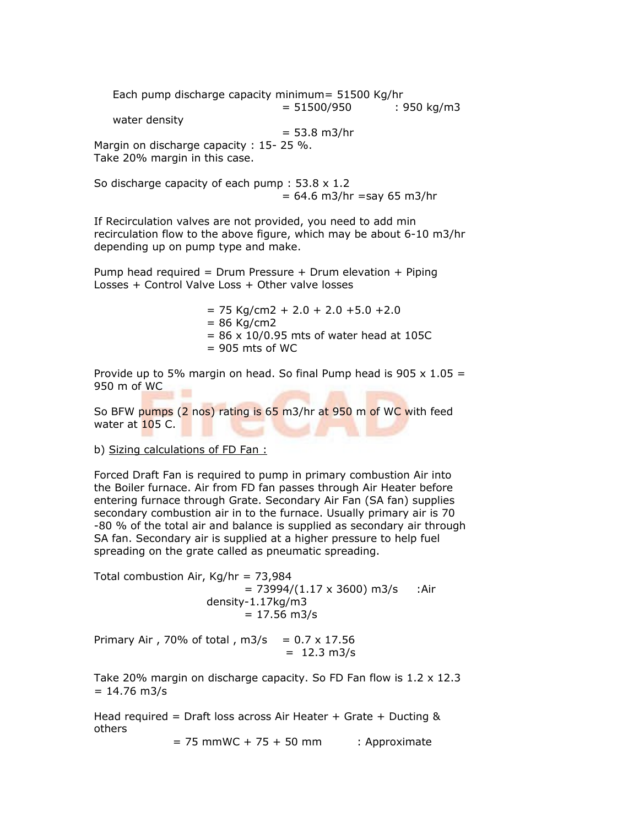Each pump discharge capacity minimum= 51500 Kg/hr  $= 51500/950$  : 950 kg/m3 water density  $= 53.8$  m $3/hr$ Margin on discharge capacity : 15-25 %. Take 20% margin in this case.

So discharge capacity of each pump : 53.8 x 1.2  $= 64.6$  m3/hr = say 65 m3/hr

If Recirculation valves are not provided, you need to add min recirculation flow to the above figure, which may be about 6-10 m3/hr depending up on pump type and make.

Pump head required = Drum Pressure  $+$  Drum elevation  $+$  Piping Losses + Control Valve Loss + Other valve losses

> $= 75$  Kg/cm2 + 2.0 + 2.0 + 5.0 + 2.0  $= 86$  Kg/cm2  $= 86 \times 10/0.95$  mts of water head at 105C  $= 905$  mts of WC

Provide up to 5% margin on head. So final Pump head is 905  $\times$  1.05 = 950 m of WC

So BFW pumps (2 nos) rating is 65 m3/hr at 950 m of WC with feed water at  $105$  C.

b) Sizing calculations of FD Fan :

Forced Draft Fan is required to pump in primary combustion Air into the Boiler furnace. Air from FD fan passes through Air Heater before entering furnace through Grate. Secondary Air Fan (SA fan) supplies secondary combustion air in to the furnace. Usually primary air is 70 -80 % of the total air and balance is supplied as secondary air through SA fan. Secondary air is supplied at a higher pressure to help fuel spreading on the grate called as pneumatic spreading.

Total combustion Air,  $Kg/hr = 73,984$  $= 73994/(1.17 \times 3600)$  m3/s :Air density-1.17kg/m3  $= 17.56$  m $3/s$ 

Primary Air, 70% of total,  $m3/s = 0.7 \times 17.56$  $= 12.3$  m $3/s$ 

Take 20% margin on discharge capacity. So FD Fan flow is  $1.2 \times 12.3$  $= 14.76$  m $3/s$ 

Head required = Draft loss across Air Heater + Grate + Ducting & others

 $= 75$  mmWC + 75 + 50 mm : Approximate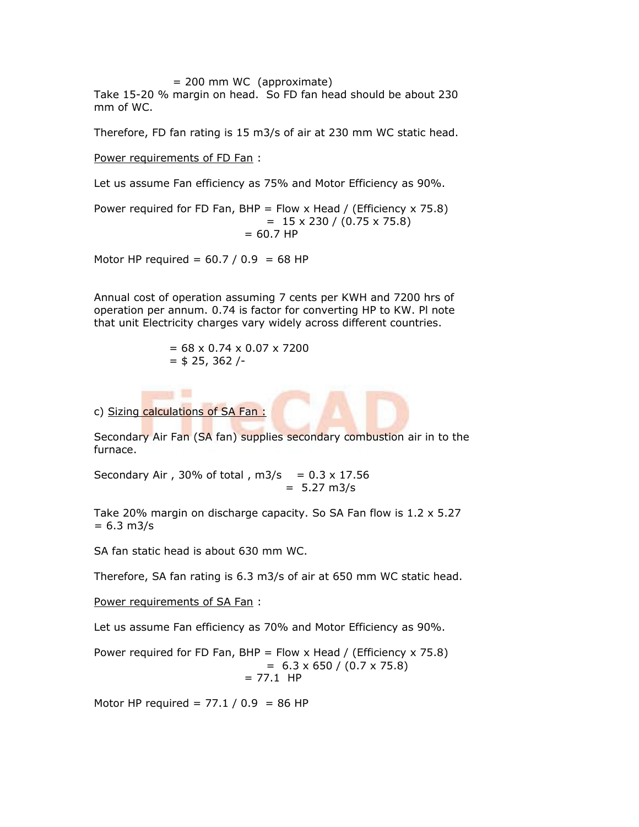= 200 mm WC (approximate)

Take 15-20 % margin on head. So FD fan head should be about 230 mm of WC.

Therefore, FD fan rating is 15 m3/s of air at 230 mm WC static head.

Power requirements of FD Fan :

Let us assume Fan efficiency as 75% and Motor Efficiency as 90%.

Power required for FD Fan, BHP = Flow x Head / (Efficiency x 75.8)  $= 15 \times 230 / (0.75 \times 75.8)$  $= 60.7$  HP

Motor HP required =  $60.7 / 0.9$  = 68 HP

Annual cost of operation assuming 7 cents per KWH and 7200 hrs of operation per annum. 0.74 is factor for converting HP to KW. Pl note that unit Electricity charges vary widely across different countries.

$$
= 68 \times 0.74 \times 0.07 \times 7200
$$

$$
= $25, 362 /-
$$

 $-1$ c) Sizing calculations of SA Fan :

Secondary Air Fan (SA fan) supplies secondary combustion air in to the furnace.

Secondary Air, 30% of total,  $m3/s = 0.3 \times 17.56$  $= 5.27 \text{ m3/s}$ 

Take 20% margin on discharge capacity. So SA Fan flow is 1.2 x 5.27  $= 6.3$  m $3/s$ 

SA fan static head is about 630 mm WC.

Therefore, SA fan rating is 6.3 m3/s of air at 650 mm WC static head.

Power requirements of SA Fan:

Let us assume Fan efficiency as 70% and Motor Efficiency as 90%.

Power required for FD Fan, BHP = Flow x Head / (Efficiency x 75.8)  $= 6.3 \times 650 / (0.7 \times 75.8)$  $= 77.1$  HP

Motor HP required =  $77.1 / 0.9$  = 86 HP